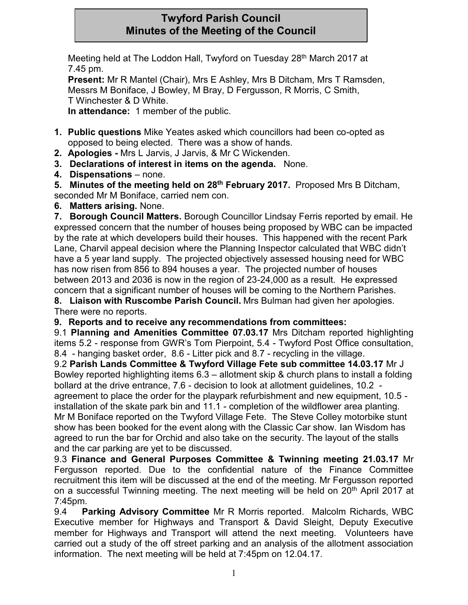# **Twyford Parish Council Minutes of the Meeting of the Council**

Meeting held at The Loddon Hall, Twyford on Tuesday 28<sup>th</sup> March 2017 at 7.45 pm.

**Present:** Mr R Mantel (Chair), Mrs E Ashley, Mrs B Ditcham, Mrs T Ramsden, Messrs M Boniface, J Bowley, M Bray, D Fergusson, R Morris, C Smith, T Winchester & D White.

**In attendance:** 1 member of the public.

- **1. Public questions** Mike Yeates asked which councillors had been co-opted as opposed to being elected. There was a show of hands.
- **2. Apologies -** Mrs L Jarvis, J Jarvis, & Mr C Wickenden.
- **3. Declarations of interest in items on the agenda.** None.
- **4. Dispensations** none.

**5. Minutes of the meeting held on 28th February 2017.** Proposed Mrs B Ditcham, seconded Mr M Boniface, carried nem con.

**6. Matters arising.** None.

**7. Borough Council Matters.** Borough Councillor Lindsay Ferris reported by email. He expressed concern that the number of houses being proposed by WBC can be impacted by the rate at which developers build their houses. This happened with the recent Park Lane, Charvil appeal decision where the Planning Inspector calculated that WBC didn't have a 5 year land supply. The projected objectively assessed housing need for WBC has now risen from 856 to 894 houses a year. The projected number of houses between 2013 and 2036 is now in the region of 23-24,000 as a result. He expressed concern that a significant number of houses will be coming to the Northern Parishes. **8. Liaison with Ruscombe Parish Council.** Mrs Bulman had given her apologies.

There were no reports.

**9. Reports and to receive any recommendations from committees:**

9.1 **Planning and Amenities Committee 07.03.17** Mrs Ditcham reported highlighting items 5.2 - response from GWR's Tom Pierpoint, 5.4 - Twyford Post Office consultation, 8.4 - hanging basket order, 8.6 - Litter pick and 8.7 - recycling in the village.

9.2 **Parish Lands Committee & Twyford Village Fete sub committee 14.03.17** Mr J Bowley reported highlighting items 6.3 – allotment skip & church plans to install a folding bollard at the drive entrance, 7.6 - decision to look at allotment guidelines, 10.2 agreement to place the order for the playpark refurbishment and new equipment, 10.5 installation of the skate park bin and 11.1 - completion of the wildflower area planting. Mr M Boniface reported on the Twyford Village Fete. The Steve Colley motorbike stunt

show has been booked for the event along with the Classic Car show. Ian Wisdom has agreed to run the bar for Orchid and also take on the security. The layout of the stalls and the car parking are yet to be discussed.

9.3 **Finance and General Purposes Committee & Twinning meeting 21.03.17** Mr Fergusson reported. Due to the confidential nature of the Finance Committee recruitment this item will be discussed at the end of the meeting. Mr Fergusson reported on a successful Twinning meeting. The next meeting will be held on 20<sup>th</sup> April 2017 at 7:45pm.

9.4 **Parking Advisory Committee** Mr R Morris reported. Malcolm Richards, WBC Executive member for Highways and Transport & David Sleight, Deputy Executive member for Highways and Transport will attend the next meeting. Volunteers have carried out a study of the off street parking and an analysis of the allotment association information. The next meeting will be held at 7:45pm on 12.04.17.